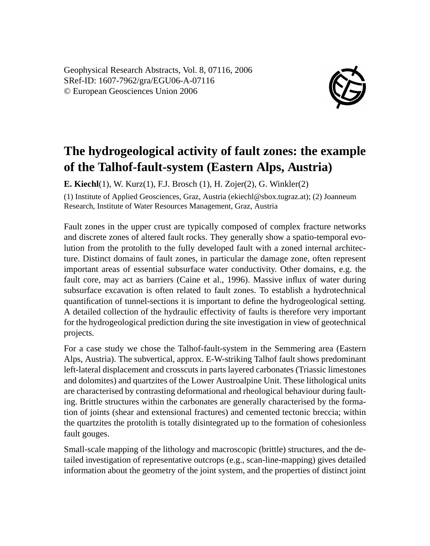Geophysical Research Abstracts, Vol. 8, 07116, 2006 SRef-ID: 1607-7962/gra/EGU06-A-07116 © European Geosciences Union 2006



## **The hydrogeological activity of fault zones: the example of the Talhof-fault-system (Eastern Alps, Austria)**

**E. Kiechl**(1), W. Kurz(1), F.J. Brosch (1), H. Zojer(2), G. Winkler(2)

(1) Institute of Applied Geosciences, Graz, Austria (ekiechl@sbox.tugraz.at); (2) Joanneum Research, Institute of Water Resources Management, Graz, Austria

Fault zones in the upper crust are typically composed of complex fracture networks and discrete zones of altered fault rocks. They generally show a spatio-temporal evolution from the protolith to the fully developed fault with a zoned internal architecture. Distinct domains of fault zones, in particular the damage zone, often represent important areas of essential subsurface water conductivity. Other domains, e.g. the fault core, may act as barriers (Caine et al., 1996). Massive influx of water during subsurface excavation is often related to fault zones. To establish a hydrotechnical quantification of tunnel-sections it is important to define the hydrogeological setting. A detailed collection of the hydraulic effectivity of faults is therefore very important for the hydrogeological prediction during the site investigation in view of geotechnical projects.

For a case study we chose the Talhof-fault-system in the Semmering area (Eastern Alps, Austria). The subvertical, approx. E-W-striking Talhof fault shows predominant left-lateral displacement and crosscuts in parts layered carbonates (Triassic limestones and dolomites) and quartzites of the Lower Austroalpine Unit. These lithological units are characterised by contrasting deformational and rheological behaviour during faulting. Brittle structures within the carbonates are generally characterised by the formation of joints (shear and extensional fractures) and cemented tectonic breccia; within the quartzites the protolith is totally disintegrated up to the formation of cohesionless fault gouges.

Small-scale mapping of the lithology and macroscopic (brittle) structures, and the detailed investigation of representative outcrops (e.g., scan-line-mapping) gives detailed information about the geometry of the joint system, and the properties of distinct joint